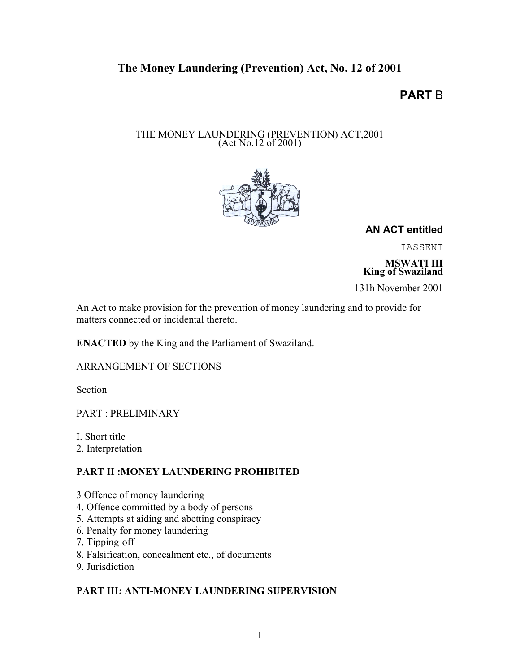# The Money Laundering (Prevention) Act, No. 12 of 2001

# **PART** B

# THE MONEY LAUNDERING (PREVENTION) ACT,2001 (Act No.12 of 2001)



**AN ACT entitled**

IASSENT

MSWATI III King of Swaziland

131h November 2001

An Act to make provision for the prevention of money laundering and to provide for matters connected or incidental thereto.

ENACTED by the King and the Parliament of Swaziland.

ARRANGEMENT OF SECTIONS

Section

PART : PRELIMINARY

I. Short title

2. Interpretation

# PART II :MONEY LAUNDERING PROHIBITED

- 3 Offence of money laundering
- 4. Offence committed by a body of persons
- 5. Attempts at aiding and abetting conspiracy
- 6. Penalty for money laundering
- 7. Tipping-off
- 8. Falsification, concealment etc., of documents
- 9. Jurisdiction

# PART III: ANTI-MONEY LAUNDERING SUPERVISION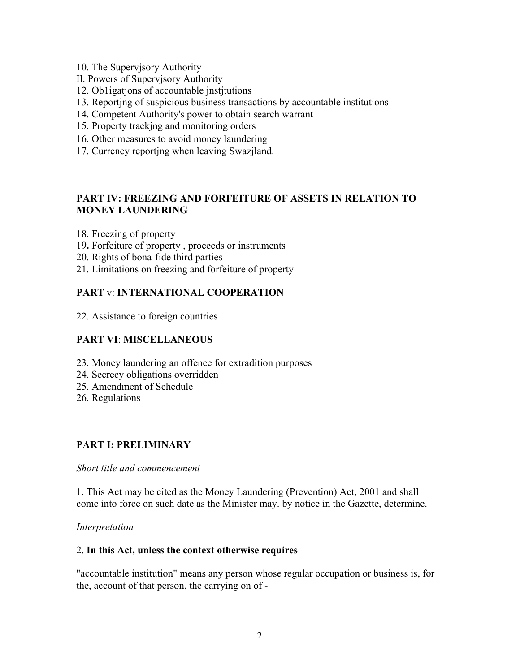- 10. The Supervjsory Authority
- Il. Powers of Supervjsory Authority
- 12. Ob1igatjons of accountable jnstjtutions
- 13. Reportjng of suspicious business transactions by accountable institutions
- 14. Competent Authority's power to obtain search warrant
- 15. Property trackjng and monitoring orders
- 16. Other measures to avoid money laundering
- 17. Currency reportjng when leaving Swazjland.

# PART IV: FREEZING AND FORFEITURE OF ASSETS IN RELATION TO MONEY LAUNDERING

- 18. Freezing of property
- 19. Forfeiture of property , proceeds or instruments
- 20. Rights of bona-fide third parties
- 21. Limitations on freezing and forfeiture of property

# PART v: INTERNATIONAL COOPERATION

22. Assistance to foreign countries

# PART VI: MISCELLANEOUS

- 23. Money laundering an offence for extradition purposes
- 24. Secrecy obligations overridden
- 25. Amendment of Schedule
- 26. Regulations

# PART I: PRELIMINARY

#### *Short title and commencement*

1. This Act may be cited as the Money Laundering (Prevention) Act, 2001 and shall come into force on such date as the Minister may. by notice in the Gazette, determine.

#### *Interpretation*

#### 2. In this Act, unless the context otherwise requires -

"accountable institution" means any person whose regular occupation or business is, for the, account of that person, the carrying on of -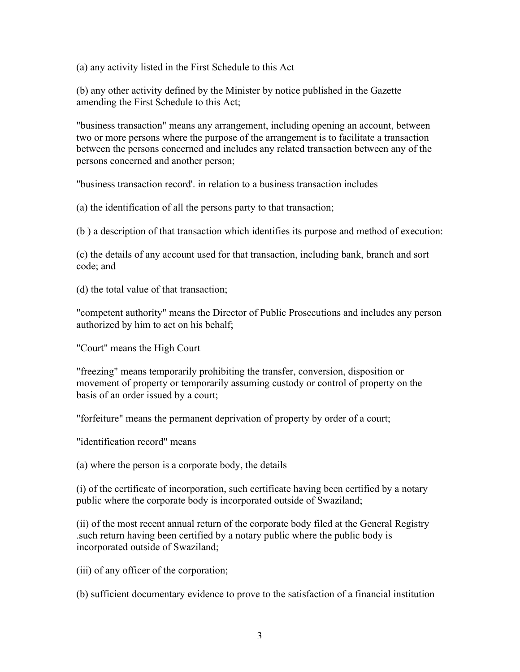(a) any activity listed in the First Schedule to this Act

(b) any other activity defined by the Minister by notice published in the Gazette amending the First Schedule to this Act;

"business transaction" means any arrangement, including opening an account, between two or more persons where the purpose of the arrangement is to facilitate a transaction between the persons concerned and includes any related transaction between any of the persons concerned and another person;

"business transaction record'. in relation to a business transaction includes

(a) the identification of all the persons party to that transaction;

(b ) a description of that transaction which identifies its purpose and method of execution:

(c) the details of any account used for that transaction, including bank, branch and sort code; and

(d) the total value of that transaction;

"competent authority" means the Director of Public Prosecutions and includes any person authorized by him to act on his behalf;

"Court" means the High Court

"freezing" means temporarily prohibiting the transfer, conversion, disposition or movement of property or temporarily assuming custody or control of property on the basis of an order issued by a court;

"forfeiture" means the permanent deprivation of property by order of a court;

"identification record" means

(a) where the person is a corporate body, the details

(i) of the certificate of incorporation, such certificate having been certified by a notary public where the corporate body is incorporated outside of Swaziland;

(ii) of the most recent annual return of the corporate body filed at the General Registry .such return having been certified by a notary public where the public body is incorporated outside of Swaziland;

(iii) of any officer of the corporation;

(b) sufficient documentary evidence to prove to the satisfaction of a financial institution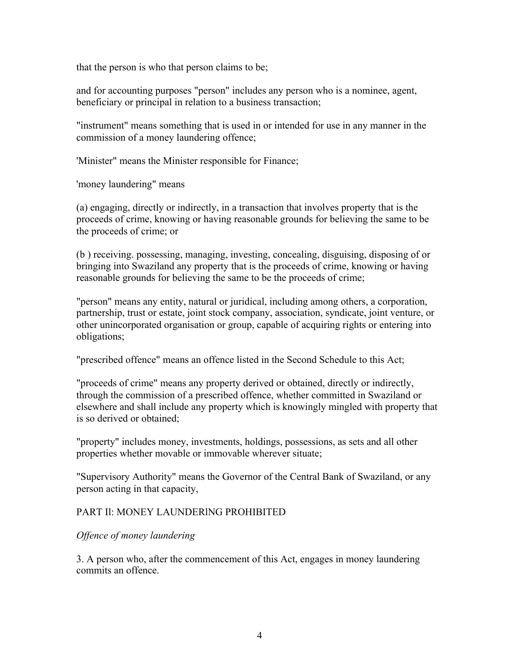that the person is who that person claims to be;

and for accounting purposes "person" includes any person who is a nominee, agent, beneficiary or principal in relation to a business transaction;

"instrument" means something that is used in or intended for use in any manner in the commission of a money laundering offence;

'Minister" means the Minister responsible for Finance;

'money laundering" means

(a) engaging, directly or indirectly, in a transaction that involves property that is the proceeds of crime, knowing or having reasonable grounds for believing the same to be the proceeds of crime; or

(b ) receiving. possessing, managing, investing, concealing, disguising, disposing of or bringing into Swaziland any property that is the proceeds of crime, knowing or having reasonable grounds for believing the same to be the proceeds of crime;

"person" means any entity, natural or juridical, including among others, a corporation, partnership, trust or estate, joint stock company, association, syndicate, joint venture, or other unincorporated organisation or group, capable of acquiring rights or entering into obligations;

"prescribed offence" means an offence listed in the Second Schedule to this Act;

"proceeds of crime" means any property derived or obtained, directly or indirectly, through the commission of a prescribed offence, whether committed in Swaziland or elsewhere and shall include any property which is knowingly mingled with property that is so derived or obtained;

"property" includes money, investments, holdings, possessions, as sets and all other properties whether movable or immovable wherever situate;

"Supervisory Authority" means the Governor of the Central Bank of Swaziland, or any person acting in that capacity,

#### PART Il: MONEY LAUNDERlNG PROHIBITED

#### *Offence of money laundering*

3. A person who, after the commencement of this Act, engages in money laundering commits an offence.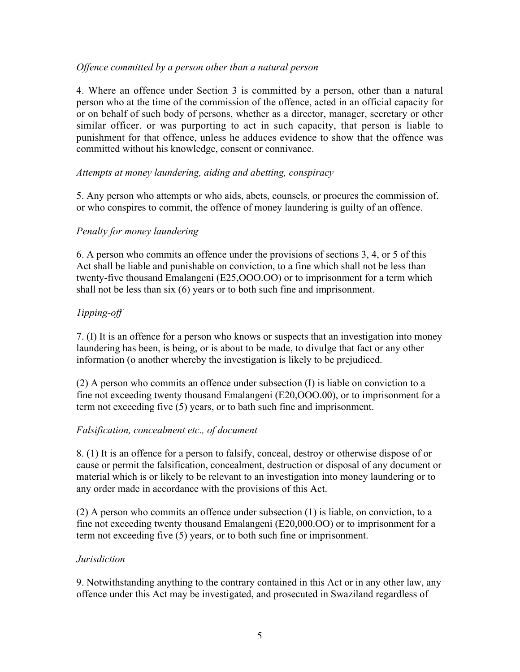#### *Offence committed by a person other than a natural person*

4. Where an offence under Section 3 is committed by a person, other than a natural person who at the time of the commission of the offence, acted in an official capacity for or on behalf of such body of persons, whether as a director, manager, secretary or other similar officer. or was purporting to act in such capacity, that person is liable to punishment for that offence, unless he adduces evidence to show that the offence was committed without his knowledge, consent or connivance.

#### *Attempts at money laundering, aiding and abetting, conspiracy*

5. Any person who attempts or who aids, abets, counsels, or procures the commission of. or who conspires to commit, the offence of money laundering is guilty of an offence.

# *Penalty for money laundering*

6. A person who commits an offence under the provisions of sections 3, 4, or 5 of this Act shall be liable and punishable on conviction, to a fine which shall not be less than twenty-five thousand Emalangeni (E25,OOO.OO) or to imprisonment for a term which shall not be less than six (6) years or to both such fine and imprisonment.

# *1ipping-off*

7. (I) It is an offence for a person who knows or suspects that an investigation into money laundering has been, is being, or is about to be made, to divulge that fact or any other information (o another whereby the investigation is likely to be prejudiced.

(2) A person who commits an offence under subsection (I) is liable on conviction to a fine not exceeding twenty thousand Emalangeni (E20,OOO.00), or to imprisonment for a term not exceeding five (5) years, or to bath such fine and imprisonment.

# *Falsification, concealment etc., of document*

8. (1) It is an offence for a person to falsify, conceal, destroy or otherwise dispose of or cause or permit the falsification, concealment, destruction or disposal of any document or material which is or likely to be relevant to an investigation into money laundering or to any order made in accordance with the provisions of this Act.

(2) A person who commits an offence under subsection (1) is liable, on conviction, to a fine not exceeding twenty thousand Emalangeni (E20,000.OO) or to imprisonment for a term not exceeding five (5) years, or to both such fine or imprisonment.

# *Jurisdiction*

9. Notwithstanding anything to the contrary contained in this Act or in any other law, any offence under this Act may be investigated, and prosecuted in Swaziland regardless of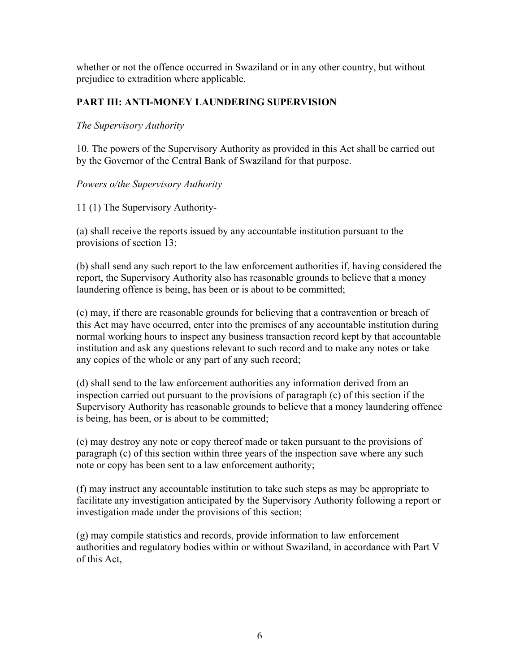whether or not the offence occurred in Swaziland or in any other country, but without prejudice to extradition where applicable.

# PART III: ANTI-MONEY LAUNDERING SUPERVISION

#### *The Supervisory Authority*

10. The powers of the Supervisory Authority as provided in this Act shall be carried out by the Governor of the Central Bank of Swaziland for that purpose.

# *Powers o/the Supervisory Authority*

11 (1) The Supervisory Authority-

(a) shall receive the reports issued by any accountable institution pursuant to the provisions of section 13;

(b) shall send any such report to the law enforcement authorities if, having considered the report, the Supervisory Authority also has reasonable grounds to believe that a money laundering offence is being, has been or is about to be committed;

(c) may, if there are reasonable grounds for believing that a contravention or breach of this Act may have occurred, enter into the premises of any accountable institution during normal working hours to inspect any business transaction record kept by that accountable institution and ask any questions relevant to such record and to make any notes or take any copies of the whole or any part of any such record;

(d) shall send to the law enforcement authorities any information derived from an inspection carried out pursuant to the provisions of paragraph (c) of this section if the Supervisory Authority has reasonable grounds to believe that a money laundering offence is being, has been, or is about to be committed;

(e) may destroy any note or copy thereof made or taken pursuant to the provisions of paragraph (c) of this section within three years of the inspection save where any such note or copy has been sent to a law enforcement authority;

(f) may instruct any accountable institution to take such steps as may be appropriate to facilitate any investigation anticipated by the Supervisory Authority following a report or investigation made under the provisions of this section;

(g) may compile statistics and records, provide information to law enforcement authorities and regulatory bodies within or without Swaziland, in accordance with Part V of this Act,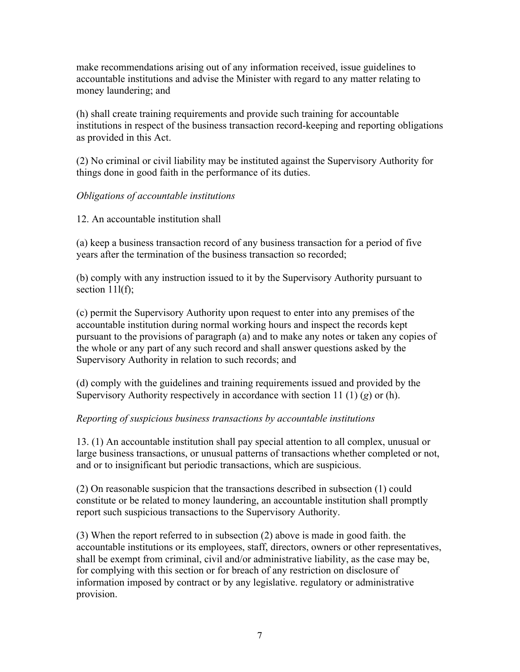make recommendations arising out of any information received, issue guidelines to accountable institutions and advise the Minister with regard to any matter relating to money laundering; and

(h) shall create training requirements and provide such training for accountable institutions in respect of the business transaction record-keeping and reporting obligations as provided in this Act.

(2) No criminal or civil liability may be instituted against the Supervisory Authority for things done in good faith in the performance of its duties.

# *Obligations of accountable institutions*

#### 12. An accountable institution shall

(a) keep a business transaction record of any business transaction for a period of five years after the termination of the business transaction so recorded;

(b) comply with any instruction issued to it by the Supervisory Authority pursuant to section  $11(f)$ ;

(c) permit the Supervisory Authority upon request to enter into any premises of the accountable institution during normal working hours and inspect the records kept pursuant to the provisions of paragraph (a) and to make any notes or taken any copies of the whole or any part of any such record and shall answer questions asked by the Supervisory Authority in relation to such records; and

(d) comply with the guidelines and training requirements issued and provided by the Supervisory Authority respectively in accordance with section 11 (1) (*g*) or (h).

# *Reporting of suspicious business transactions by accountable institutions*

13. (1) An accountable institution shall pay special attention to all complex, unusual or large business transactions, or unusual patterns of transactions whether completed or not, and or to insignificant but periodic transactions, which are suspicious.

(2) On reasonable suspicion that the transactions described in subsection (1) could constitute or be related to money laundering, an accountable institution shall promptly report such suspicious transactions to the Supervisory Authority.

(3) When the report referred to in subsection (2) above is made in good faith. the accountable institutions or its employees, staff, directors, owners or other representatives, shall be exempt from criminal, civil and/or administrative liability, as the case may be, for complying with this section or for breach of any restriction on disclosure of information imposed by contract or by any legislative. regulatory or administrative provision.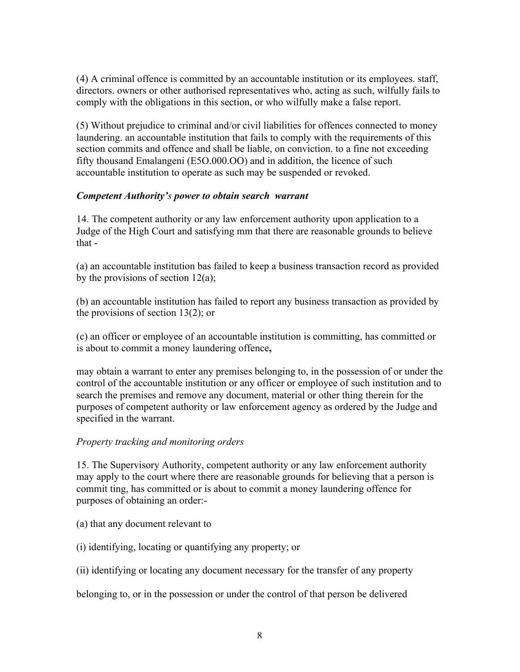(4) A criminal offence is committed by an accountable institution or its employees. staff, directors. owners or other authorised representatives who, acting as such, wilfully fails to comply with the obligations in this section, or who wilfully make a false report.

(5) Without prejudice to criminal and/or civil liabilities for offences connected to money laundering. an accountable institution that fails to comply with the requirements of this section commits and offence and shall be liable, on conviction. to a fine not exceeding fifty thousand Emalangeni (E5O.000.OO) and in addition, the licence of such accountable institution to operate as such may be suspended or revoked.

#### *Competent Authority's power to obtain search warrant*

14. The competent authority or any law enforcement authority upon application to a Judge of the High Court and satisfying mm that there are reasonable grounds to believe that -

(a) an accountable institution bas failed to keep a business transaction record as provided by the provisions of section  $12(a)$ ;

(b) an accountable institution has failed to report any business transaction as provided by the provisions of section 13(2); or

(c) an officer or employee of an accountable institution is committing, has committed or is about to commit a money laundering offence,

may obtain a warrant to enter any premises belonging to, in the possession of or under the control of the accountable institution or any officer or employee of such institution and to search the premises and remove any document, material or other thing therein for the purposes of competent authority or law enforcement agency as ordered by the Judge and specified in the warrant.

# *Property tracking and monitoring orders*

15. The Supervisory Authority, competent authority or any law enforcement authority may apply to the court where there are reasonable grounds for believing that a person is commit ting, has committed or is about to commit a money laundering offence for purposes of obtaining an order:-

- (a) that any document relevant to
- (i) identifying, locating or quantifying any property; or
- (ii) identifying or locating any document necessary for the transfer of any property

belonging to, or in the possession or under the control of that person be delivered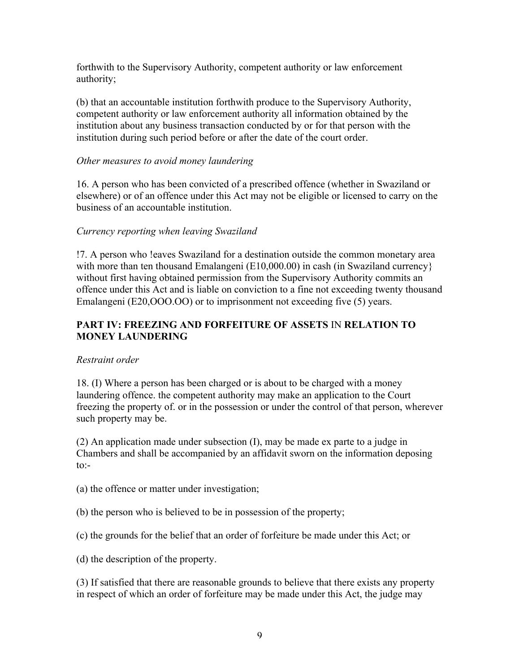forthwith to the Supervisory Authority, competent authority or law enforcement authority;

(b) that an accountable institution forthwith produce to the Supervisory Authority, competent authority or law enforcement authority all information obtained by the institution about any business transaction conducted by or for that person with the institution during such period before or after the date of the court order.

#### *Other measures to avoid money laundering*

16. A person who has been convicted of a prescribed offence (whether in Swaziland or elsewhere) or of an offence under this Act may not be eligible or licensed to carry on the business of an accountable institution.

#### *Currency reporting when leaving Swaziland*

!7. A person who !eaves Swaziland for a destination outside the common monetary area with more than ten thousand Emalangeni (E10,000.00) in cash (in Swaziland currency} without first having obtained permission from the Supervisory Authority commits an offence under this Act and is liable on conviction to a fine not exceeding twenty thousand Emalangeni (E20, OOO.OO) or to imprisonment not exceeding five (5) years.

# PART IV: FREEZING AND FORFEITURE OF ASSETS IN RELATION TO MONEY LAUNDERING

# *Restraint order*

18. (I) Where a person has been charged or is about to be charged with a money laundering offence. the competent authority may make an application to the Court freezing the property of. or in the possession or under the control of that person, wherever such property may be.

(2) An application made under subsection (I), may be made ex parte to a judge in Chambers and shall be accompanied by an affidavit sworn on the information deposing  $\text{to}$ :

(a) the offence or matter under investigation;

- (b) the person who is believed to be in possession of the property;
- (c) the grounds for the belief that an order of forfeiture be made under this Act; or
- (d) the description of the property.

(3) If satisfied that there are reasonable grounds to believe that there exists any property in respect of which an order of forfeiture may be made under this Act, the judge may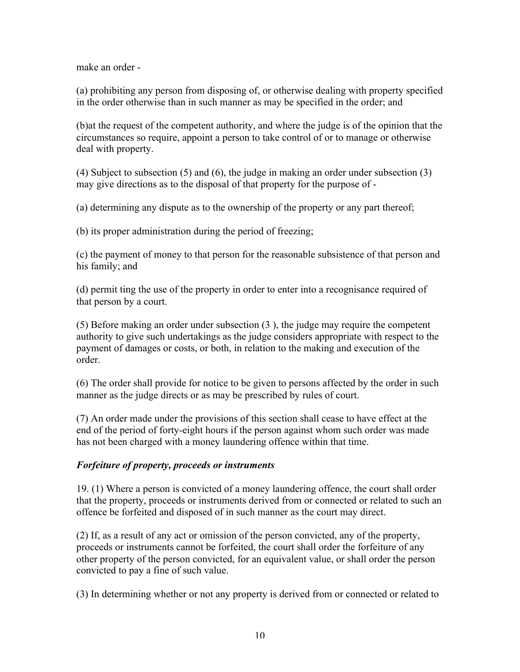make an order -

(a) prohibiting any person from disposing of, or otherwise dealing with property specified in the order otherwise than in such manner as may be specified in the order; and

(b)at the request of the competent authority, and where the judge is of the opinion that the circumstances so require, appoint a person to take control of or to manage or otherwise deal with property.

(4) Subject to subsection (5) and (6), the judge in making an order under subsection (3) may give directions as to the disposal of that property for the purpose of -

(a) determining any dispute as to the ownership of the property or any part thereof;

(b) its proper administration during the period of freezing;

(c) the payment of money to that person for the reasonable subsistence of that person and his family; and

(d) permit ting the use of the property in order to enter into a recognisance required of that person by a court.

(5) Before making an order under subsection (3 ), the judge may require the competent authority to give such undertakings as the judge considers appropriate with respect to the payment of damages or costs, or both, in relation to the making and execution of the order.

(6) The order shall provide for notice to be given to persons affected by the order in such manner as the judge directs or as may be prescribed by rules of court.

(7) An order made under the provisions of this section shall cease to have effect at the end of the period of forty-eight hours if the person against whom such order was made has not been charged with a money laundering offence within that time.

#### *Forfeiture of property, proceeds or instruments*

19. (1) Where a person is convicted of a money laundering offence, the court shall order that the property, proceeds or instruments derived from or connected or related to such an offence be forfeited and disposed of in such manner as the court may direct.

(2) If, as a result of any act or omission of the person convicted, any of the property, proceeds or instruments cannot be forfeited, the court shall order the forfeiture of any other property of the person convicted, for an equivalent value, or shall order the person convicted to pay a fine of such value.

(3) In determining whether or not any property is derived from or connected or related to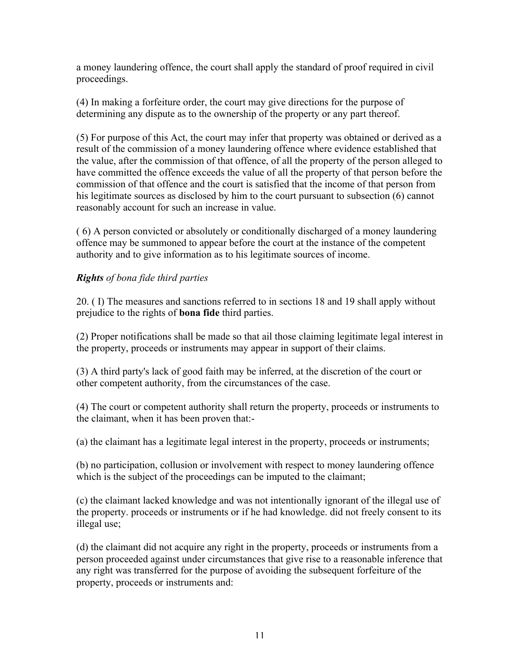a money laundering offence, the court shall apply the standard of proof required in civil proceedings.

(4) In making a forfeiture order, the court may give directions for the purpose of determining any dispute as to the ownership of the property or any part thereof.

(5) For purpose of this Act, the court may infer that property was obtained or derived as a result of the commission of a money laundering offence where evidence established that the value, after the commission of that offence, of all the property of the person alleged to have committed the offence exceeds the value of all the property of that person before the commission of that offence and the court is satisfied that the income of that person from his legitimate sources as disclosed by him to the court pursuant to subsection (6) cannot reasonably account for such an increase in value.

( 6) A person convicted or absolutely or conditionally discharged of a money laundering offence may be summoned to appear before the court at the instance of the competent authority and to give information as to his legitimate sources of income.

# *Rights of bona fide third parties*

20. ( I) The measures and sanctions referred to in sections 18 and 19 shall apply without prejudice to the rights of bona fide third parties.

(2) Proper notifications shall be made so that ail those claiming legitimate legal interest in the property, proceeds or instruments may appear in support of their claims.

(3) A third party's lack of good faith may be inferred, at the discretion of the court or other competent authority, from the circumstances of the case.

(4) The court or competent authority shall return the property, proceeds or instruments to the claimant, when it has been proven that:-

(a) the claimant has a legitimate legal interest in the property, proceeds or instruments;

(b) no participation, collusion or involvement with respect to money laundering offence which is the subject of the proceedings can be imputed to the claimant;

(c) the claimant lacked knowledge and was not intentionally ignorant of the illegal use of the property. proceeds or instruments or if he had knowledge. did not freely consent to its illegal use;

(d) the claimant did not acquire any right in the property, proceeds or instruments from a person proceeded against under circumstances that give rise to a reasonable inference that any right was transferred for the purpose of avoiding the subsequent forfeiture of the property, proceeds or instruments and: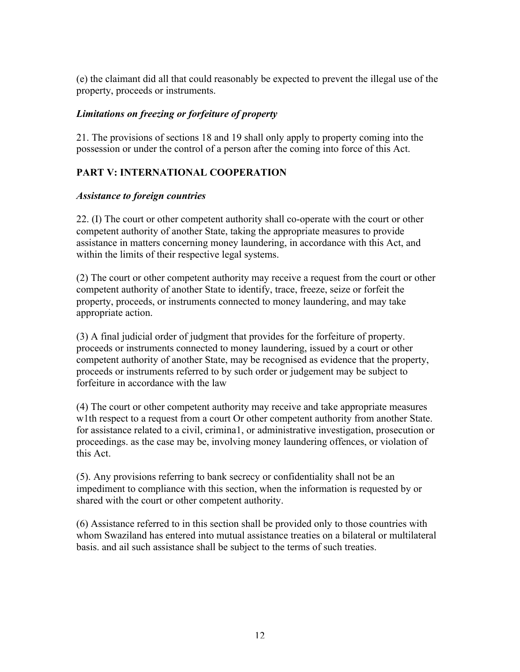(e) the claimant did all that could reasonably be expected to prevent the illegal use of the property, proceeds or instruments.

# *Limitations on freezing or forfeiture of property*

21. The provisions of sections 18 and 19 shall only apply to property coming into the possession or under the control of a person after the coming into force of this Act.

# PART V: INTERNATIONAL COOPERATION

# *Assistance to foreign countries*

22. (I) The court or other competent authority shall co-operate with the court or other competent authority of another State, taking the appropriate measures to provide assistance in matters concerning money laundering, in accordance with this Act, and within the limits of their respective legal systems.

(2) The court or other competent authority may receive a request from the court or other competent authority of another State to identify, trace, freeze, seize or forfeit the property, proceeds, or instruments connected to money laundering, and may take appropriate action.

(3) A final judicial order of judgment that provides for the forfeiture of property. proceeds or instruments connected to money laundering, issued by a court or other competent authority of another State, may be recognised as evidence that the property, proceeds or instruments referred to by such order or judgement may be subject to forfeiture in accordance with the law

(4) The court or other competent authority may receive and take appropriate measures w1th respect to a request from a court Or other competent authority from another State. for assistance related to a civil, crimina1, or administrative investigation, prosecution or proceedings. as the case may be, involving money laundering offences, or violation of this Act.

(5). Any provisions referring to bank secrecy or confidentiality shall not be an impediment to compliance with this section, when the information is requested by or shared with the court or other competent authority.

(6) Assistance referred to in this section shall be provided only to those countries with whom Swaziland has entered into mutual assistance treaties on a bilateral or multilateral basis. and ail such assistance shall be subject to the terms of such treaties.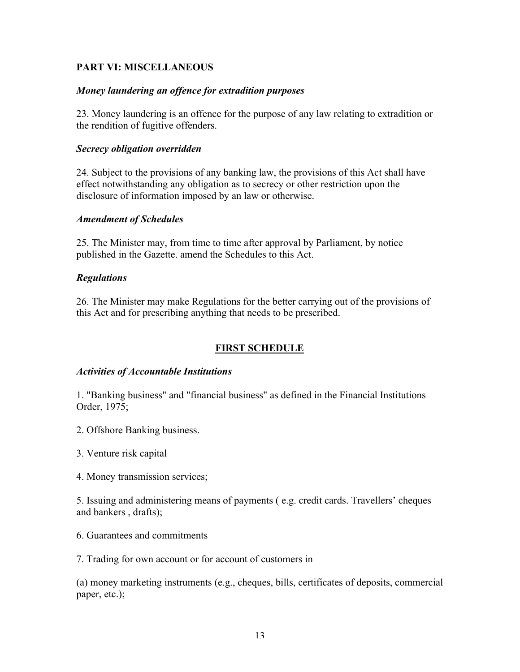# PART VI: MISCELLANEOUS

#### *Money laundering an offence for extradition purposes*

23. Money laundering is an offence for the purpose of any law relating to extradition or the rendition of fugitive offenders.

#### *Secrecy obligation overridden*

24. Subject to the provisions of any banking law, the provisions of this Act shall have effect notwithstanding any obligation as to secrecy or other restriction upon the disclosure of information imposed by an law or otherwise.

#### *Amendment of Schedules*

25. The Minister may, from time to time after approval by Parliament, by notice published in the Gazette. amend the Schedules to this Act.

#### *Regulations*

26. The Minister may make Regulations for the better carrying out of the provisions of this Act and for prescribing anything that needs to be prescribed.

# FIRST SCHEDULE

#### *Activities of Accountable Institutions*

1. "Banking business" and "financial business" as defined in the Financial Institutions Order, 1975;

- 2. Offshore Banking business.
- 3. Venture risk capital
- 4. Money transmission services;

5. Issuing and administering means of payments ( e.g. credit cards. Travellers' cheques and bankers , drafts);

6. Guarantees and commitments

7. Trading for own account or for account of customers in

(a) money marketing instruments (e.g., cheques, bills, certificates of deposits, commercial paper, etc.);